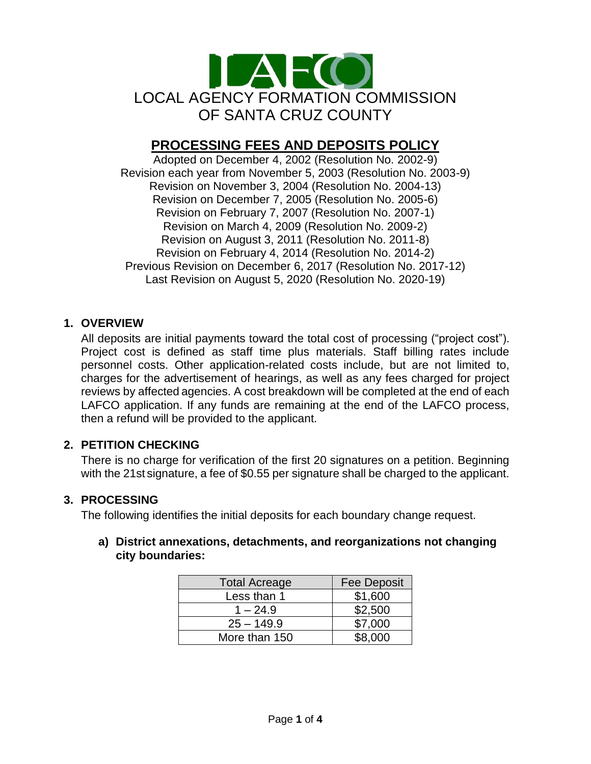

# **PROCESSING FEES AND DEPOSITS POLICY**

Adopted on December 4, 2002 (Resolution No. 2002-9) Revision each year from November 5, 2003 (Resolution No. 2003-9) Revision on November 3, 2004 (Resolution No. 2004-13) Revision on December 7, 2005 (Resolution No. 2005-6) Revision on February 7, 2007 (Resolution No. 2007-1) Revision on March 4, 2009 (Resolution No. 2009-2) Revision on August 3, 2011 (Resolution No. 2011-8) Revision on February 4, 2014 (Resolution No. 2014-2) Previous Revision on December 6, 2017 (Resolution No. 2017-12) Last Revision on August 5, 2020 (Resolution No. 2020-19)

### **1. OVERVIEW**

All deposits are initial payments toward the total cost of processing ("project cost"). Project cost is defined as staff time plus materials. Staff billing rates include personnel costs. Other application-related costs include, but are not limited to, charges for the advertisement of hearings, as well as any fees charged for project reviews by affected agencies. A cost breakdown will be completed at the end of each LAFCO application. If any funds are remaining at the end of the LAFCO process, then a refund will be provided to the applicant.

## **2. PETITION CHECKING**

There is no charge for verification of the first 20 signatures on a petition. Beginning with the 21st signature, a fee of \$0.55 per signature shall be charged to the applicant.

#### **3. PROCESSING**

The following identifies the initial deposits for each boundary change request.

#### **a) District annexations, detachments, and reorganizations not changing city boundaries:**

| <b>Total Acreage</b> | <b>Fee Deposit</b> |
|----------------------|--------------------|
| Less than 1          | \$1,600            |
| $1 - 24.9$           | \$2,500            |
| $25 - 149.9$         | \$7,000            |
| More than 150        | \$8,000            |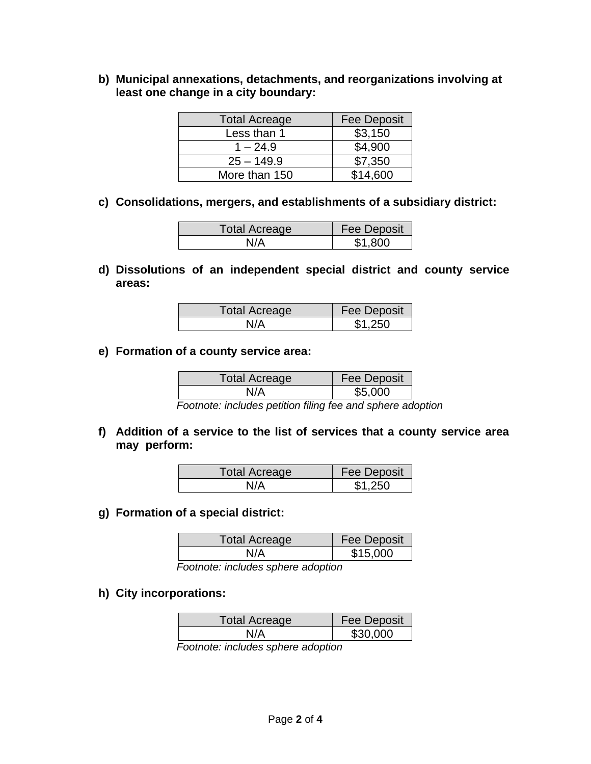**b) Municipal annexations, detachments, and reorganizations involving at least one change in a city boundary:**

| <b>Total Acreage</b> | <b>Fee Deposit</b> |
|----------------------|--------------------|
| Less than 1          | \$3,150            |
| $1 - 24.9$           | \$4,900            |
| $25 - 149.9$         | \$7,350            |
| More than 150        | \$14,600           |

**c) Consolidations, mergers, and establishments of a subsidiary district:**

| <b>Total Acreage</b> | <b>Fee Deposit</b> |
|----------------------|--------------------|
| N/A                  | \$1,800            |

**d) Dissolutions of an independent special district and county service areas:**

| Total Acreage | <b>Fee Deposit</b> |
|---------------|--------------------|
| N/A           | \$1.250            |

**e) Formation of a county service area:**

| Total Acreage | <b>Fee Deposit</b> |
|---------------|--------------------|
|               | \$5.000            |

*Footnote: includes petition filing fee and sphere adoption*

**f) Addition of a service to the list of services that a county service area may perform:**

| Total Acreage | <b>Fee Deposit</b> |
|---------------|--------------------|
| N/A           | \$1.250            |

**g) Formation of a special district:**

| <b>Total Acreage</b> | <b>Fee Deposit</b> |
|----------------------|--------------------|
| N/A                  | \$15,000           |

*Footnote: includes sphere adoption*

**h) City incorporations:**

| Total Acreage | <b>Fee Deposit</b> |
|---------------|--------------------|
| N/A           | \$30,000           |

*Footnote: includes sphere adoption*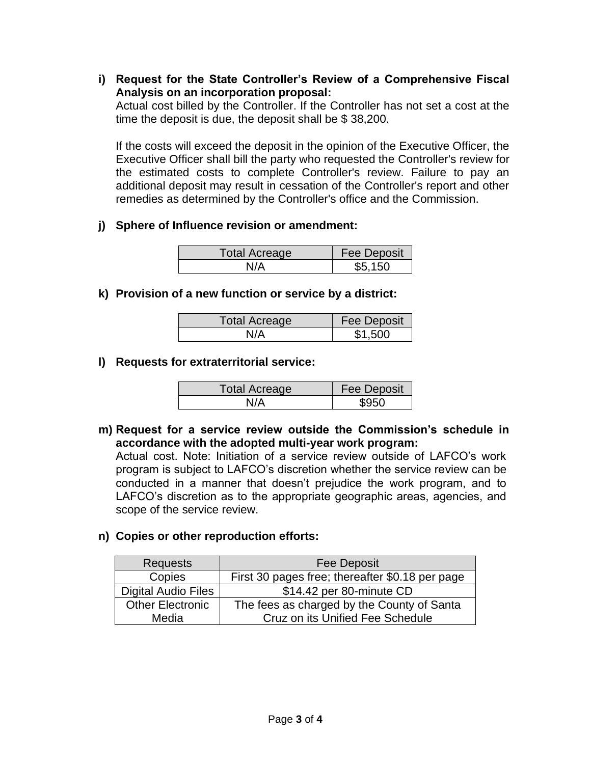**i) Request for the State Controller's Review of a Comprehensive Fiscal Analysis on an incorporation proposal:**

Actual cost billed by the Controller. If the Controller has not set a cost at the time the deposit is due, the deposit shall be \$ 38,200.

If the costs will exceed the deposit in the opinion of the Executive Officer, the Executive Officer shall bill the party who requested the Controller's review for the estimated costs to complete Controller's review. Failure to pay an additional deposit may result in cessation of the Controller's report and other remedies as determined by the Controller's office and the Commission.

#### **j) Sphere of Influence revision or amendment:**

| <b>Total Acreage</b> | <b>Fee Deposit</b> |
|----------------------|--------------------|
|                      | \$5.150            |

**k) Provision of a new function or service by a district:**

| <b>Total Acreage</b> | <b>Fee Deposit</b> |
|----------------------|--------------------|
|                      | \$1.500            |

#### **l) Requests for extraterritorial service:**

| <b>Total Acreage</b> | <b>Fee Deposit</b> |
|----------------------|--------------------|
|                      | \$950              |

**m) Request for a service review outside the Commission's schedule in accordance with the adopted multi-year work program:**

Actual cost. Note: Initiation of a service review outside of LAFCO's work program is subject to LAFCO's discretion whether the service review can be conducted in a manner that doesn't prejudice the work program, and to LAFCO's discretion as to the appropriate geographic areas, agencies, and scope of the service review.

#### **n) Copies or other reproduction efforts:**

| <b>Requests</b>            | <b>Fee Deposit</b>                              |  |
|----------------------------|-------------------------------------------------|--|
| Copies                     | First 30 pages free; thereafter \$0.18 per page |  |
| <b>Digital Audio Files</b> | \$14.42 per 80-minute CD                        |  |
| <b>Other Electronic</b>    | The fees as charged by the County of Santa      |  |
| Media                      | Cruz on its Unified Fee Schedule                |  |